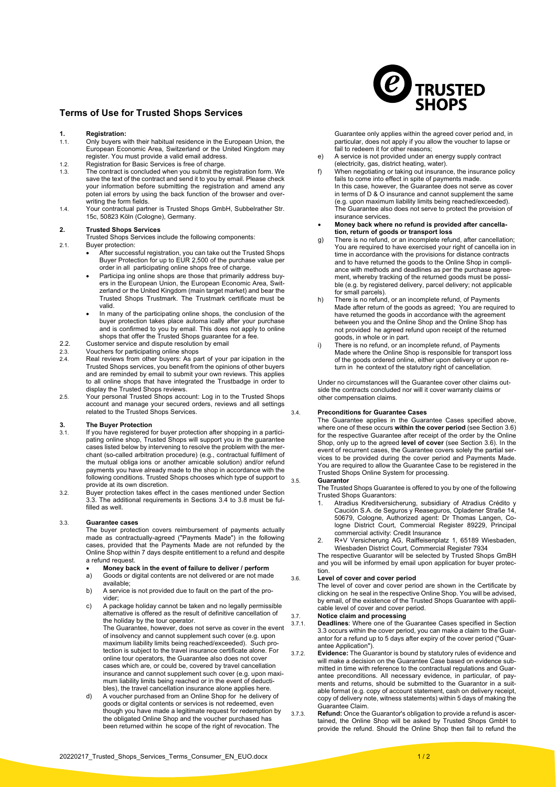### **Terms of Use for Trusted Shops Services**

# **1. Registration:**

- Only buyers with their habitual residence in the European Union, the European Economic Area, Switzerland or the United Kingdom may register. You must provide a valid email address.
- 1.2. Registration for Basic Services is free of charge.
- The contract is concluded when you submit the registration form. We save the text of the contract and send it to you by email. Please check your information before submitting the registration and amend any poten ial errors by using the back function of the browser and overwriting the form fields.
- 1.4. Your contractual partner is Trusted Shops GmbH, Subbelrather Str. 15c, 50823 Köln (Cologne), Germany.

#### **2. Trusted Shops Services**

Trusted Shops Services include the following components:

- 2.1. Buyer protection: • After successful registration, you can take out the Trusted Shops Buyer Protection for up to EUR 2,500 of the purchase value per order in all participating online shops free of charge.
	- Participa ing online shops are those that primarily address buyers in the European Union, the European Economic Area, Switzerland or the United Kingdom (main target market) and bear the Trusted Shops Trustmark. The Trustmark certificate must be valid.
	- In many of the participating online shops, the conclusion of the buyer protection takes place automa ically after your purchase and is confirmed to you by email. This does not apply to online shops that offer the Trusted Shops guarantee for a fee.
- 2.2. Customer service and dispute resolution by email 2.3. Vouchers for participating online shops
- 2.3. Vouchers for participating online shops<br>2.4. Real reviews from other buyers: As pa Real reviews from other buyers: As part of your par icipation in the Trusted Shops services, you benefit from the opinions of other buyers and are reminded by email to submit your own reviews. This applies to all online shops that have integrated the Trustbadge in order to display the Trusted Shops reviews.
- 2.5. Your personal Trusted Shops account: Log in to the Trusted Shops account and manage your secured orders, reviews and all settings related to the Trusted Shops Services.

# **3. The Buyer Protection**<br>**3.1.** If you have registered for

- If you have registered for buyer protection after shopping in a participating online shop, Trusted Shops will support you in the guarantee cases listed below by intervening to resolve the problem with the merchant (so-called arbitration procedure) (e.g., contractual fulfilment of the mutual obliga ions or another amicable solution) and/or refund payments you have already made to the shop in accordance with the following conditions. Trusted Shops chooses which type of support to provide at its own discretion.
- 3.2. Buyer protection takes effect in the cases mentioned under Section [3.3.](#page-0-0) The additional requirements in Sections [3.4](#page-0-1) to [3.8](#page-1-0) must be fulfilled as well.

#### 3.3. **Guarantee cases**

<span id="page-0-0"></span>The buyer protection covers reimbursement of payments actually made as contractually-agreed ("Payments Made") in the following cases, provided that the Payments Made are not refunded by the Online Shop within 7 days despite entitlement to a refund and despite a refund request.

- **Money back in the event of failure to deliver / perform**
- Goods or digital contents are not delivered or are not made available;
- b) A service is not provided due to fault on the part of the provider;
- c) A package holiday cannot be taken and no legally permissible alternative is offered as the result of definitive cancellation of the holiday by the tour operator.

The Guarantee, however, does not serve as cover in the event of insolvency and cannot supplement such cover (e.g. upon maximum liability limits being reached/exceeded). Such protection is subject to the travel insurance certificate alone. For online tour operators, the Guarantee also does not cover cases which are, or could be, covered by travel cancellation insurance and cannot supplement such cover (e.g. upon maximum liability limits being reached or in the event of deductibles), the travel cancellation insurance alone applies here.

d) A voucher purchased from an Online Shop for he delivery of goods or digital contents or services is not redeemed, even though you have made a legitimate request for redemption by the obligated Online Shop and the voucher purchased has been returned within he scope of the right of revocation. The



Guarantee only applies within the agreed cover period and, in particular, does not apply if you allow the voucher to lapse or fail to redeem it for other reasons;

- e) A service is not provided under an energy supply contract (electricity, gas, district heating, water).
- f) When negotiating or taking out insurance, the insurance policy fails to come into effect in spite of payments made. In this case, however, the Guarantee does not serve as cover in terms of D & O insurance and cannot supplement the same (e.g. upon maximum liability limits being reached/exceeded). The Guarantee also does not serve to protect the provision of insurance services.

# • **Money back where no refund is provided after cancella-**

- **tion, return of goods or transport loss** g) There is no refund, or an incomplete refund, after cancellation; You are required to have exercised your right of cancella ion in time in accordance with the provisions for distance contracts and to have returned the goods to the Online Shop in compliance with methods and deadlines as per the purchase agreement, whereby tracking of the returned goods must be possible (e.g. by registered delivery, parcel delivery; not applicable for small parcels).
- h) There is no refund, or an incomplete refund, of Payments Made after return of the goods as agreed; You are required to have returned the goods in accordance with the agreement between you and the Online Shop and the Online Shop has not provided he agreed refund upon receipt of the returned goods, in whole or in part.
- i) There is no refund, or an incomplete refund, of Payments Made where the Online Shop is responsible for transport loss of the goods ordered online, either upon delivery or upon return in he context of the statutory right of cancellation.

Under no circumstances will the Guarantee cover other claims outside the contracts concluded nor will it cover warranty claims or other compensation claims.

#### <span id="page-0-1"></span>3.4. **Preconditions for Guarantee Cases**

The Guarantee applies in the Guarantee Cases specified above, where one of these occurs **within the cover period** (see Section [3.6\)](#page-0-2) for the respective Guarantee after receipt of the order by the Online Shop, only up to the agreed **level of cover** (see Section [3.6\)](#page-0-2). In the event of recurrent cases, the Guarantee covers solely the partial services to be provided during the cover period and Payments Made. You are required to allow the Guarantee Case to be registered in the Trusted Shops Online System for processing.

#### 3.5. **Guarantor**

The Trusted Shops Guarantee is offered to you by one of the following Trusted Shops Guarantors:

- 1. Atradius Kreditversicherung, subsidiary of Atradius Crédito y Caución S.A. de Seguros y Reaseguros, Opladener Straße 14, 50679, Cologne, Authorized agent: Dr Thomas Langen, Cologne District Court, Commercial Register 89229, Principal commercial activity: Credit Insurance
- 2. R+V Versicherung AG, Raiffeisenplatz 1, 65189 Wiesbaden, Wiesbaden District Court, Commercial Register 7934

The respective Guarantor will be selected by Trusted Shops GmBH and you will be informed by email upon application for buyer protection.

#### <span id="page-0-2"></span>3.6. **Level of cover and cover period**

The level of cover and cover period are shown in the Certificate by clicking on he seal in the respective Online Shop. You will be advised, by email, of the existence of the Trusted Shops Guarantee with applicable level of cover and cover period.

#### 3.7. **Notice claim and processing**

3.7.1. **Deadlines**: Where one of the Guarantee Cases specified in Section [3.3](#page-0-0) occurs within the cover period, you can make a claim to the Guarantor for a refund up to 5 days after expiry of the cover period ("Guarantee Application").

- 3.7.2. **Evidence:** The Guarantor is bound by statutory rules of evidence and will make a decision on the Guarantee Case based on evidence submitted in time with reference to the contractual regulations and Guarantee preconditions. All necessary evidence, in particular, of payments and returns, should be submitted to the Guarantor in a suitable format (e.g. copy of account statement, cash on delivery receipt, copy of delivery note, witness statements) within 5 days of making the Guarantee Claim.
- 3.7.3. **Refund:** Once the Guarantor's obligation to provide a refund is ascertained, the Online Shop will be asked by Trusted Shops GmbH to provide the refund. Should the Online Shop then fail to refund the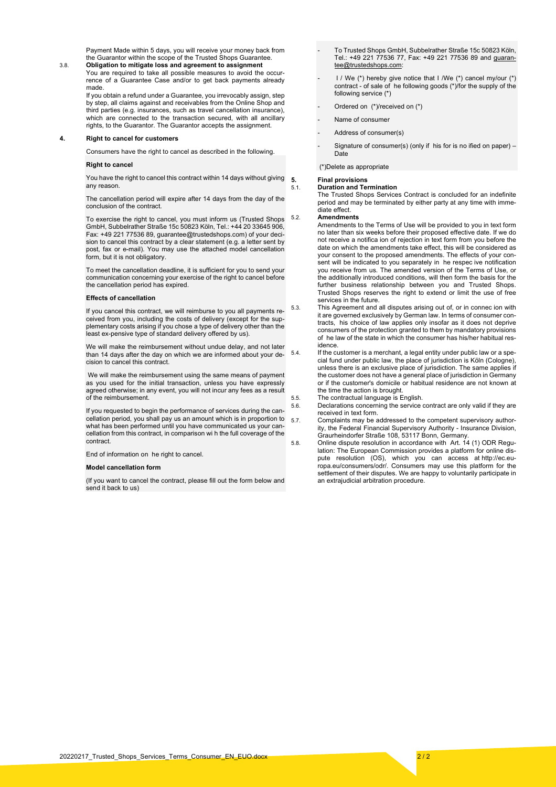Payment Made within 5 days, you will receive your money back from the Guarantor within the scope of the Trusted Shops Guarantee.

<span id="page-1-0"></span>3.8. **Obligation to mitigate loss and agreement to assignment** You are required to take all possible measures to avoid the occurrence of a Guarantee Case and/or to get back payments already made.

> If you obtain a refund under a Guarantee, you irrevocably assign, step by step, all claims against and receivables from the Online Shop and third parties (e.g. insurances, such as travel cancellation insurance), which are connected to the transaction secured, with all ancillary rights, to the Guarantor. The Guarantor accepts the assignment.

#### **4. Right to cancel for customers**

Consumers have the right to cancel as described in the following.

#### **Right to cancel**

You have the right to cancel this contract within 14 days without giving 5. any reason.

The cancellation period will expire after 14 days from the day of the conclusion of the contract.

To exercise the right to cancel, you must inform us (Trusted Shops GmbH, Subbelrather Straße 15c 50823 Köln, Tel.: +44 20 33645 906, Fax: +49 221 77536 89, guarantee@trustedshops.com) of your decision to cancel this contract by a clear statement (e.g. a letter sent by post, fax or e-mail). You may use the attached model cancellation form, but it is not obligatory.

To meet the cancellation deadline, it is sufficient for you to send your communication concerning your exercise of the right to cancel before the cancellation period has expired.

#### **Effects of cancellation**

If you cancel this contract, we will reimburse to you all payments received from you, including the costs of delivery (except for the supplementary costs arising if you chose a type of delivery other than the least ex-pensive type of standard delivery offered by us).

We will make the reimbursement without undue delay, and not later than 14 days after the day on which we are informed about your de- 5.4. cision to cancel this contract.

We will make the reimbursement using the same means of payment as you used for the initial transaction, unless you have expressly agreed otherwise; in any event, you will not incur any fees as a result of the reimbursement.

If you requested to begin the performance of services during the cancellation period, you shall pay us an amount which is in proportion to what has been performed until you have communicated us your cancellation from this contract, in comparison wi h the full coverage of the contract.

End of information on he right to cancel.

#### **Model cancellation form**

(If you want to cancel the contract, please fill out the form below and send it back to us)

- To Trusted Shops GmbH, Subbelrather Straße 15c 50823 Köln, Tel.: +49 221 77536 77, Fax: +49 221 77536 89 and [guaran](mailto:guarantee@trustedshops.com)[tee@trustedshops.com:](mailto:guarantee@trustedshops.com)
- I / We (\*) hereby give notice that I /We (\*) cancel my/our (\*) contract - of sale of he following goods (\*)/for the supply of the following service (\*)
- Ordered on (\*)/received on (\*)
- Name of consumer
- Address of consumer(s)
- Signature of consumer(s) (only if his for is no ified on paper) -**Date**

(\*)Delete as appropriate

# **5. Final provisions**

5.1. **Duration and Termination** The Trusted Shops Services Contract is concluded for an indefinite period and may be terminated by either party at any time with imme-.<br>diate effect.

#### 5.2. **Amendments**

Amendments to the Terms of Use will be provided to you in text form no later than six weeks before their proposed effective date. If we do not receive a notifica ion of rejection in text form from you before the date on which the amendments take effect, this will be considered as your consent to the proposed amendments. The effects of your consent will be indicated to you separately in he respec ive notification you receive from us. The amended version of the Terms of Use, or the additionally introduced conditions, will then form the basis for the further business relationship between you and Trusted Shops. Trusted Shops reserves the right to extend or limit the use of free services in the future.

- 5.3. This Agreement and all disputes arising out of, or in connec ion with it are governed exclusively by German law. In terms of consumer contracts, his choice of law applies only insofar as it does not deprive consumers of the protection granted to them by mandatory provisions of he law of the state in which the consumer has his/her habitual residence.
	- If the customer is a merchant, a legal entity under public law or a special fund under public law, the place of jurisdiction is Köln (Cologne), unless there is an exclusive place of jurisdiction. The same applies if the customer does not have a general place of jurisdiction in Germany or if the customer's domicile or habitual residence are not known at the time the action is brought.
- 5.5. The contractual language is English.<br>5.6. Declarations concerning the service
	- 5.6. Declarations concerning the service contract are only valid if they are received in text form.
- 5.7. Complaints may be addressed to the competent supervisory authority, the Federal Financial Supervisory Authority - Insurance Division, Graurheindorfer Straße 108, 53117 Bonn, Germany.
- 5.8. Online dispute resolution in accordance with Art. 14 (1) ODR Regulation: The European Commission provides a platform for online dispute resolution (OS), which you can access at [http://ec.eu](http://ec.europa.eu/consumers/odr/)[ropa.eu/consumers/odr/.](http://ec.europa.eu/consumers/odr/) Consumers may use this platform for the settlement of their disputes. We are happy to voluntarily participate in an extrajudicial arbitration procedure.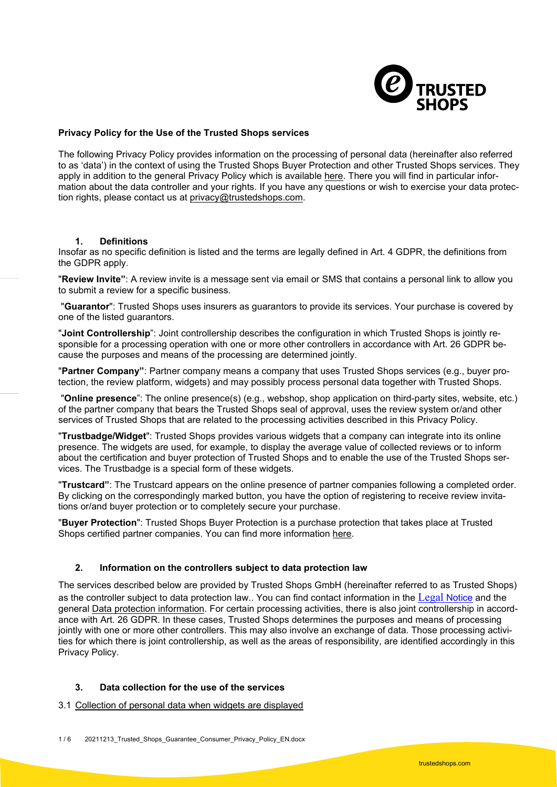

### **Privacy Policy for the Use of the Trusted Shops services**

The following Privacy Policy provides information on the processing of personal data (hereinafter also referred to as 'data') in the context of using the Trusted Shops Buyer Protection and other Trusted Shops services. They apply in addition to the general Privacy Policy which is available [here.](https://www.trustedshops.co.uk/imprint/#user-privacy-policy) There you will find in particular information about the data controller and your rights. If you have any questions or wish to exercise your data protection rights, please contact us at [privacy@trustedshops.com.](mailto:privacy@trustedshops.com)

### **1. Definitions**

Insofar as no specific definition is listed and the terms are legally defined in Art. 4 GDPR, the definitions from the GDPR apply.

"**Review Invite"**: A review invite is a message sent via email or SMS that contains a personal link to allow you to submit a review for a specific business.

"**Guarantor**": Trusted Shops uses insurers as guarantors to provide its services. Your purchase is covered by one of the listed guarantors.

"**Joint Controllership**": Joint controllership describes the configuration in which Trusted Shops is jointly responsible for a processing operation with one or more other controllers in accordance with Art. 26 GDPR because the purposes and means of the processing are determined jointly.

"**Partner Company"**: Partner company means a company that uses Trusted Shops services (e.g., buyer protection, the review platform, widgets) and may possibly process personal data together with Trusted Shops.

"**Online presence**": The online presence(s) (e.g., webshop, shop application on third-party sites, website, etc.) of the partner company that bears the Trusted Shops seal of approval, uses the review system or/and other services of Trusted Shops that are related to the processing activities described in this Privacy Policy.

"**Trustbadge/Widget**": Trusted Shops provides various widgets that a company can integrate into its online presence. The widgets are used, for example, to display the average value of collected reviews or to inform about the certification and buyer protection of Trusted Shops and to enable the use of the Trusted Shops services. The Trustbadge is a special form of these widgets.

"**Trustcard"**: The Trustcard appears on the online presence of partner companies following a completed order. By clicking on the correspondingly marked button, you have the option of registering to receive review invitations or/and buyer protection or to completely secure your purchase.

"**Buyer Protection**": Trusted Shops Buyer Protection is a purchase protection that takes place at Trusted Shops certified partner companies. You can find more information [here.](https://www.trustedshops.co.uk/buyer-protection/)

### **2. Information on the controllers subject to data protection law**

The services described below are provided by Trusted Shops GmbH (hereinafter referred to as Trusted Shops) as the controller subject to data protection law.. You can find contact information in the [Legal](https://www.trustedshops.co.uk/imprint/) [Notice](https://www.trustedshops.co.uk/imprint/) and the general [Data protection information.](https://www.trustedshops.co.uk/imprint/#user-privacy-policy) For certain processing activities, there is also joint controllership in accordance with Art. 26 GDPR. In these cases, Trusted Shops determines the purposes and means of processing jointly with one or more other controllers. This may also involve an exchange of data. Those processing activities for which there is joint controllership, as well as the areas of responsibility, are identified accordingly in this Privacy Policy.

# **3. Data collection for the use of the services**

3.1 Collection of personal data when widgets are displayed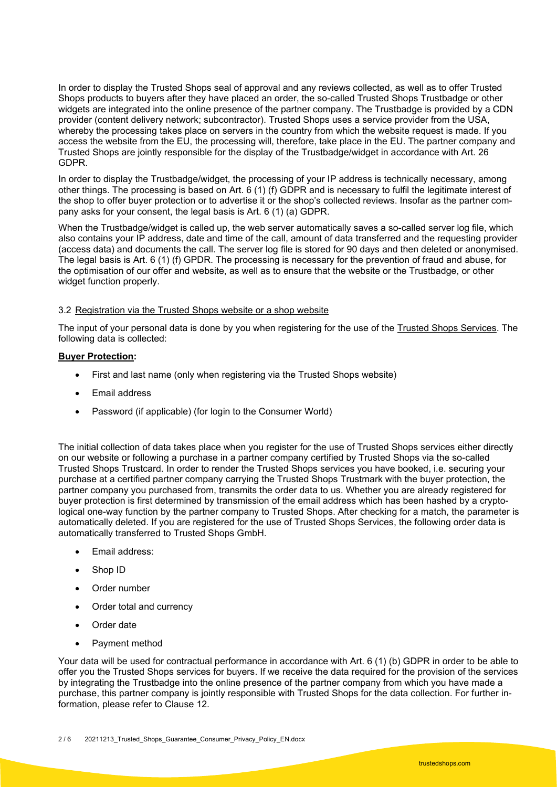In order to display the Trusted Shops seal of approval and any reviews collected, as well as to offer Trusted Shops products to buyers after they have placed an order, the so-called Trusted Shops Trustbadge or other widgets are integrated into the online presence of the partner company. The Trustbadge is provided by a CDN provider (content delivery network; subcontractor). Trusted Shops uses a service provider from the USA, whereby the processing takes place on servers in the country from which the website request is made. If you access the website from the EU, the processing will, therefore, take place in the EU. The partner company and Trusted Shops are jointly responsible for the display of the Trustbadge/widget in accordance with Art. 26 GDPR.

In order to display the Trustbadge/widget, the processing of your IP address is technically necessary, among other things. The processing is based on Art. 6 (1) (f) GDPR and is necessary to fulfil the legitimate interest of the shop to offer buyer protection or to advertise it or the shop's collected reviews. Insofar as the partner company asks for your consent, the legal basis is Art. 6 (1) (a) GDPR.

When the Trustbadge/widget is called up, the web server automatically saves a so-called server log file, which also contains your IP address, date and time of the call, amount of data transferred and the requesting provider (access data) and documents the call. The server log file is stored for 90 days and then deleted or anonymised. The legal basis is Art. 6 (1) (f) GPDR. The processing is necessary for the prevention of fraud and abuse, for the optimisation of our offer and website, as well as to ensure that the website or the Trustbadge, or other widget function properly.

# 3.2 Registration via the Trusted Shops website or a shop website

The input of your personal data is done by you when registering for the use of the [Trusted Shops Services.](https://www.trustedshops.com/tsdocument/BUYER_AUTO_PROTECTION_TERMS_en.pdf) The following data is collected:

### **[Buyer Protection:](https://auth.trustedshops.com/auth/realms/myTS/protocol/openid-connect/registrations?client_id=consumer-web&response_type=code)**

- First and last name (only when registering via the Trusted Shops website)
- Email address
- Password (if applicable) (for login to the Consumer World)

The initial collection of data takes place when you register for the use of Trusted Shops services either directly on our website or following a purchase in a partner company certified by Trusted Shops via the so-called Trusted Shops Trustcard. In order to render the Trusted Shops services you have booked, i.e. securing your purchase at a certified partner company carrying the Trusted Shops Trustmark with the buyer protection, the partner company you purchased from, transmits the order data to us. Whether you are already registered for buyer protection is first determined by transmission of the email address which has been hashed by a cryptological one-way function by the partner company to Trusted Shops. After checking for a match, the parameter is automatically deleted. If you are registered for the use of Trusted Shops Services, the following order data is automatically transferred to Trusted Shops GmbH.

- Email address:
- Shop ID
- Order number
- Order total and currency
- Order date
- Payment method

Your data will be used for contractual performance in accordance with Art. 6 (1) (b) GDPR in order to be able to offer you the Trusted Shops services for buyers. If we receive the data required for the provision of the services by integrating the Trustbadge into the online presence of the partner company from which you have made a purchase, this partner company is jointly responsible with Trusted Shops for the data collection. For further information, please refer to Clause 12.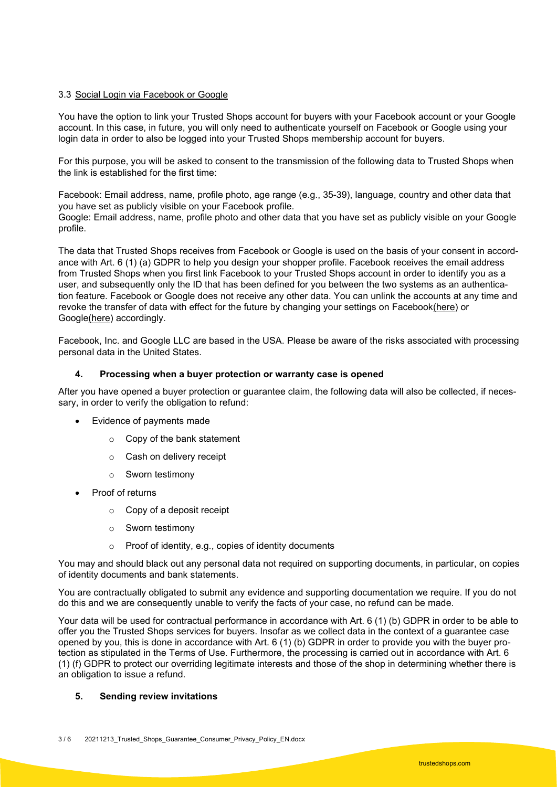# 3.3 Social Login via Facebook or Google

You have the option to link your Trusted Shops account for buyers with your Facebook account or your Google account. In this case, in future, you will only need to authenticate yourself on Facebook or Google using your login data in order to also be logged into your Trusted Shops membership account for buyers.

For this purpose, you will be asked to consent to the transmission of the following data to Trusted Shops when the link is established for the first time:

Facebook: Email address, name, profile photo, age range (e.g., 35-39), language, country and other data that you have set as publicly visible on your Facebook profile.

Google: Email address, name, profile photo and other data that you have set as publicly visible on your Google profile.

The data that Trusted Shops receives from Facebook or Google is used on the basis of your consent in accordance with Art. 6 (1) (a) GDPR to help you design your shopper profile. Facebook receives the email address from Trusted Shops when you first link Facebook to your Trusted Shops account in order to identify you as a user, and subsequently only the ID that has been defined for you between the two systems as an authentication feature. Facebook or Google does not receive any other data. You can unlink the accounts at any time and revoke the transfer of data with effect for the future by changing your settings on Faceboo[k\(here\)](https://www.facebook.com/settings?tab=applications) or Googl[e\(here\)](https://myaccount.google.com/security#connectedapps) accordingly.

Facebook, Inc. and Google LLC are based in the USA. Please be aware of the risks associated with processing personal data in the United States.

# **4. Processing when a buyer protection or warranty case is opened**

After you have opened a buyer protection or guarantee claim, the following data will also be collected, if necessary, in order to verify the obligation to refund:

- Evidence of payments made
	- o Copy of the bank statement
	- o Cash on delivery receipt
	- o Sworn testimony
- Proof of returns
	- o Copy of a deposit receipt
	- o Sworn testimony
	- o Proof of identity, e.g., copies of identity documents

You may and should black out any personal data not required on supporting documents, in particular, on copies of identity documents and bank statements.

You are contractually obligated to submit any evidence and supporting documentation we require. If you do not do this and we are consequently unable to verify the facts of your case, no refund can be made.

Your data will be used for contractual performance in accordance with Art. 6 (1) (b) GDPR in order to be able to offer you the Trusted Shops services for buyers. Insofar as we collect data in the context of a guarantee case opened by you, this is done in accordance with Art. 6 (1) (b) GDPR in order to provide you with the buyer protection as stipulated in the Terms of Use. Furthermore, the processing is carried out in accordance with Art. 6 (1) (f) GDPR to protect our overriding legitimate interests and those of the shop in determining whether there is an obligation to issue a refund.

### **5. Sending review invitations**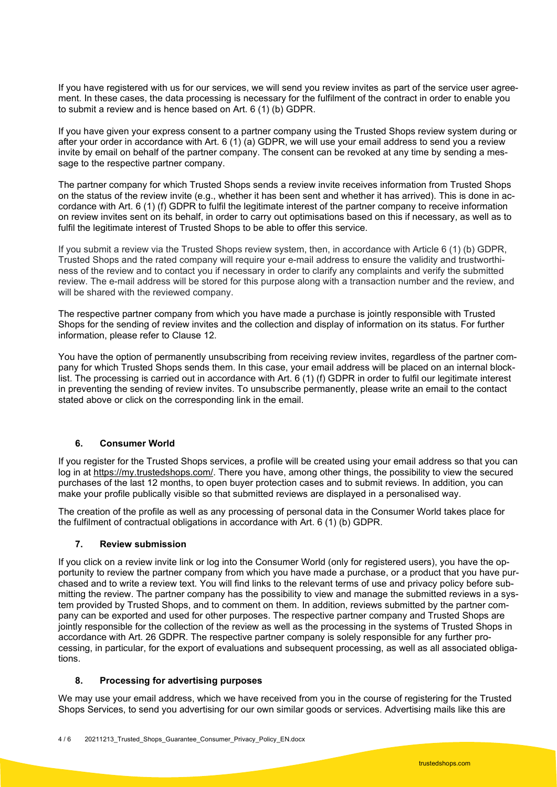If you have registered with us for our services, we will send you review invites as part of the service user agreement. In these cases, the data processing is necessary for the fulfilment of the contract in order to enable you to submit a review and is hence based on Art. 6 (1) (b) GDPR.

If you have given your express consent to a partner company using the Trusted Shops review system during or after your order in accordance with Art. 6 (1) (a) GDPR, we will use your email address to send you a review invite by email on behalf of the partner company. The consent can be revoked at any time by sending a message to the respective partner company.

The partner company for which Trusted Shops sends a review invite receives information from Trusted Shops on the status of the review invite (e.g., whether it has been sent and whether it has arrived). This is done in accordance with Art. 6 (1) (f) GDPR to fulfil the legitimate interest of the partner company to receive information on review invites sent on its behalf, in order to carry out optimisations based on this if necessary, as well as to fulfil the legitimate interest of Trusted Shops to be able to offer this service.

If you submit a review via the Trusted Shops review system, then, in accordance with Article 6 (1) (b) GDPR, Trusted Shops and the rated company will require your e-mail address to ensure the validity and trustworthiness of the review and to contact you if necessary in order to clarify any complaints and verify the submitted review. The e-mail address will be stored for this purpose along with a transaction number and the review, and will be shared with the reviewed company.

The respective partner company from which you have made a purchase is jointly responsible with Trusted Shops for the sending of review invites and the collection and display of information on its status. For further information, please refer to Clause 12.

You have the option of permanently unsubscribing from receiving review invites, regardless of the partner company for which Trusted Shops sends them. In this case, your email address will be placed on an internal blocklist. The processing is carried out in accordance with Art. 6 (1) (f) GDPR in order to fulfil our legitimate interest in preventing the sending of review invites. To unsubscribe permanently, please write an email to the contact stated above or click on the corresponding link in the email.

# **6. Consumer World**

If you register for the Trusted Shops services, a profile will be created using your email address so that you can log in at [https://my.trustedshops.com/.](https://my.trustedshops.com/) There you have, among other things, the possibility to view the secured purchases of the last 12 months, to open buyer protection cases and to submit reviews. In addition, you can make your profile publically visible so that submitted reviews are displayed in a personalised way.

The creation of the profile as well as any processing of personal data in the Consumer World takes place for the fulfilment of contractual obligations in accordance with Art. 6 (1) (b) GDPR.

### **7. Review submission**

If you click on a review invite link or log into the Consumer World (only for registered users), you have the opportunity to review the partner company from which you have made a purchase, or a product that you have purchased and to write a review text. You will find links to the relevant terms of use and privacy policy before submitting the review. The partner company has the possibility to view and manage the submitted reviews in a system provided by Trusted Shops, and to comment on them. In addition, reviews submitted by the partner company can be exported and used for other purposes. The respective partner company and Trusted Shops are jointly responsible for the collection of the review as well as the processing in the systems of Trusted Shops in accordance with Art. 26 GDPR. The respective partner company is solely responsible for any further processing, in particular, for the export of evaluations and subsequent processing, as well as all associated obligations.

# **8. Processing for advertising purposes**

We may use your email address, which we have received from you in the course of registering for the Trusted Shops Services, to send you advertising for our own similar goods or services. Advertising mails like this are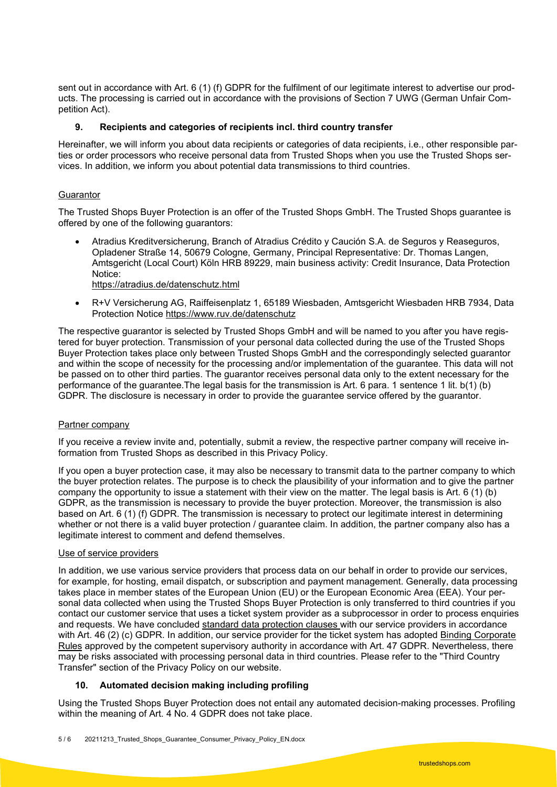sent out in accordance with Art. 6 (1) (f) GDPR for the fulfilment of our legitimate interest to advertise our products. The processing is carried out in accordance with the provisions of Section 7 UWG (German Unfair Competition Act).

# **9. Recipients and categories of recipients incl. third country transfer**

Hereinafter, we will inform you about data recipients or categories of data recipients, i.e., other responsible parties or order processors who receive personal data from Trusted Shops when you use the Trusted Shops services. In addition, we inform you about potential data transmissions to third countries.

# **Guarantor**

The Trusted Shops Buyer Protection is an offer of the Trusted Shops GmbH. The Trusted Shops guarantee is offered by one of the following guarantors:

- Atradius Kreditversicherung, Branch of Atradius Crédito y Caución S.A. de Seguros y Reaseguros, Opladener Straße 14, 50679 Cologne, Germany, Principal Representative: Dr. Thomas Langen, Amtsgericht (Local Court) Köln HRB 89229, main business activity: Credit Insurance, Data Protection Notice:
	- <https://atradius.de/datenschutz.html>
- R+V Versicherung AG, Raiffeisenplatz 1, 65189 Wiesbaden, Amtsgericht Wiesbaden HRB 7934, Data Protection Notice<https://www.ruv.de/datenschutz>

The respective guarantor is selected by Trusted Shops GmbH and will be named to you after you have registered for buyer protection. Transmission of your personal data collected during the use of the Trusted Shops Buyer Protection takes place only between Trusted Shops GmbH and the correspondingly selected guarantor and within the scope of necessity for the processing and/or implementation of the guarantee. This data will not be passed on to other third parties. The guarantor receives personal data only to the extent necessary for the performance of the guarantee.The legal basis for the transmission is Art. 6 para. 1 sentence 1 lit. b(1) (b) GDPR. The disclosure is necessary in order to provide the guarantee service offered by the guarantor.

### Partner company

If you receive a review invite and, potentially, submit a review, the respective partner company will receive information from Trusted Shops as described in this Privacy Policy.

If you open a buyer protection case, it may also be necessary to transmit data to the partner company to which the buyer protection relates. The purpose is to check the plausibility of your information and to give the partner company the opportunity to issue a statement with their view on the matter. The legal basis is Art. 6 (1) (b) GDPR, as the transmission is necessary to provide the buyer protection. Moreover, the transmission is also based on Art. 6 (1) (f) GDPR. The transmission is necessary to protect our legitimate interest in determining whether or not there is a valid buyer protection / guarantee claim. In addition, the partner company also has a legitimate interest to comment and defend themselves.

### Use of service providers

In addition, we use various service providers that process data on our behalf in order to provide our services, for example, for hosting, email dispatch, or subscription and payment management. Generally, data processing takes place in member states of the European Union (EU) or the European Economic Area (EEA). Your personal data collected when using the Trusted Shops Buyer Protection is only transferred to third countries if you contact our customer service that uses a ticket system provider as a subprocessor in order to process enquiries and requests. We have concluded [standard data protection clauses](https://eur-lex.europa.eu/legal-content/EN/TXT/PDF/?uri=CELEX:32010D0087&from=EN) with our service providers in accordance with Art. 46 (2) (c) GDPR. In addition, our service provider for the ticket system has adopted Binding Corporate [Rules](https://d1eipm3vz40hy0.cloudfront.net/pdf/ZENDESK%20-%20BCR%20Processor%20Policy.pdf) approved by the competent supervisory authority in accordance with Art. 47 GDPR. Nevertheless, there may be risks associated with processing personal data in third countries. Please refer to the "Third Country Transfer" section of the Privacy Policy on our website.

# **10. Automated decision making including profiling**

Using the Trusted Shops Buyer Protection does not entail any automated decision-making processes. Profiling within the meaning of Art. 4 No. 4 GDPR does not take place.